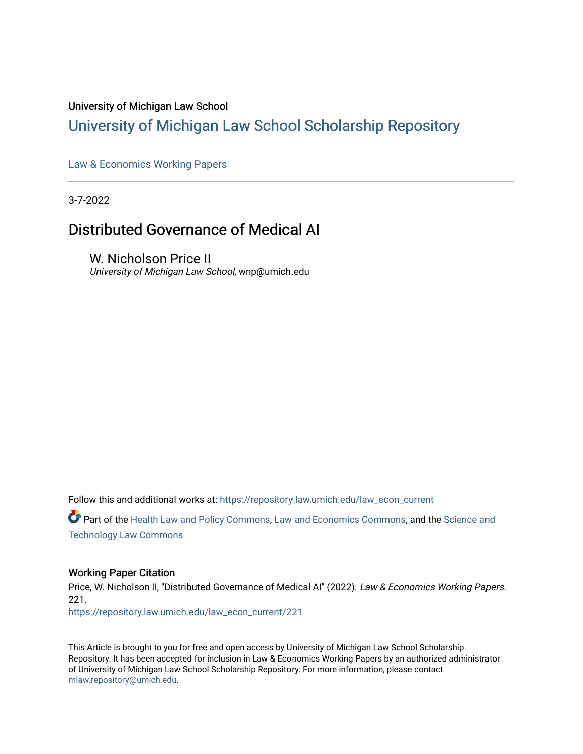#### University of Michigan Law School

# [University of Michigan Law School Scholarship Repository](https://repository.law.umich.edu/)

[Law & Economics Working Papers](https://repository.law.umich.edu/law_econ_current)

3-7-2022

# Distributed Governance of Medical AI

W. Nicholson Price II University of Michigan Law School, wnp@umich.edu

Follow this and additional works at: [https://repository.law.umich.edu/law\\_econ\\_current](https://repository.law.umich.edu/law_econ_current?utm_source=repository.law.umich.edu%2Flaw_econ_current%2F221&utm_medium=PDF&utm_campaign=PDFCoverPages) 

Part of the [Health Law and Policy Commons](http://network.bepress.com/hgg/discipline/901?utm_source=repository.law.umich.edu%2Flaw_econ_current%2F221&utm_medium=PDF&utm_campaign=PDFCoverPages), [Law and Economics Commons](http://network.bepress.com/hgg/discipline/612?utm_source=repository.law.umich.edu%2Flaw_econ_current%2F221&utm_medium=PDF&utm_campaign=PDFCoverPages), and the [Science and](http://network.bepress.com/hgg/discipline/875?utm_source=repository.law.umich.edu%2Flaw_econ_current%2F221&utm_medium=PDF&utm_campaign=PDFCoverPages) [Technology Law Commons](http://network.bepress.com/hgg/discipline/875?utm_source=repository.law.umich.edu%2Flaw_econ_current%2F221&utm_medium=PDF&utm_campaign=PDFCoverPages) 

### Working Paper Citation

Price, W. Nicholson II, "Distributed Governance of Medical AI" (2022). Law & Economics Working Papers. 221.

[https://repository.law.umich.edu/law\\_econ\\_current/221](https://repository.law.umich.edu/law_econ_current/221?utm_source=repository.law.umich.edu%2Flaw_econ_current%2F221&utm_medium=PDF&utm_campaign=PDFCoverPages) 

This Article is brought to you for free and open access by University of Michigan Law School Scholarship Repository. It has been accepted for inclusion in Law & Economics Working Papers by an authorized administrator of University of Michigan Law School Scholarship Repository. For more information, please contact [mlaw.repository@umich.edu.](mailto:mlaw.repository@umich.edu)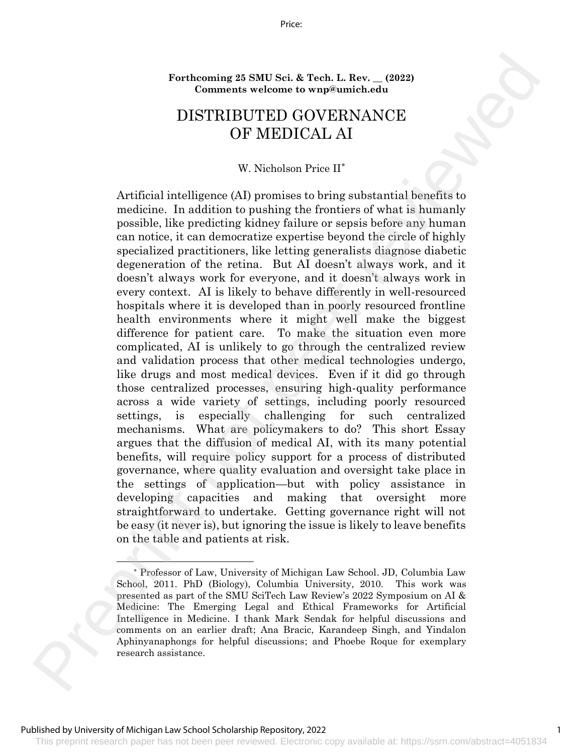Price:

**Forthcoming 25 SMU Sci. & Tech. L. Rev. \_\_ (2022) Comments welcome to wnp@umich.edu**

# DISTRIBUTED GOVERNANCE OF MEDICAL AI

#### W. Nicholson Price II\*

Artificial intelligence (AI) promises to bring substantial benefits to medicine. In addition to pushing the frontiers of what is humanly possible, like predicting kidney failure or sepsis before any human can notice, it can democratize expertise beyond the circle of highly specialized practitioners, like letting generalists diagnose diabetic degeneration of the retina. But AI doesn't always work, and it doesn't always work for everyone, and it doesn't always work in every context. AI is likely to behave differently in well-resourced hospitals where it is developed than in poorly resourced frontline health environments where it might well make the biggest difference for patient care. To make the situation even more complicated, AI is unlikely to go through the centralized review and validation process that other medical technologies undergo, like drugs and most medical devices. Even if it did go through those centralized processes, ensuring high-quality performance across a wide variety of settings, including poorly resourced settings, is especially challenging for such centralized mechanisms. What are policymakers to do? This short Essay argues that the diffusion of medical AI, with its many potential benefits, will require policy support for a process of distributed governance, where quality evaluation and oversight take place in the settings of application—but with policy assistance in developing capacities and making that oversight more straightforward to undertake. Getting governance right will not be easy (it never is), but ignoring the issue is likely to leave benefits on the table and patients at risk. For<br>chemina 28 SMU Sei, & Tech, I. Rev. (2022)<br>Comments welcome to wap<br>Sumichedot <br>DISTRIEUED GOVERNANCE<br>DISTRIEUED GOVERNANCE<br>W. We<br>hold on the quality of the prediction of the producting the fremines of what is human<br>pe

This preprint research paper has not been peer reviewed. Electronic copy available at: https://ssrn.com/abstract=4051834

1

<sup>\*</sup> Professor of Law, University of Michigan Law School. JD, Columbia Law School, 2011. PhD (Biology), Columbia University, 2010. This work was presented as part of the SMU SciTech Law Review's 2022 Symposium on AI & Medicine: The Emerging Legal and Ethical Frameworks for Artificial Intelligence in Medicine. I thank Mark Sendak for helpful discussions and comments on an earlier draft; Ana Bracic, Karandeep Singh, and Yindalon Aphinyanaphongs for helpful discussions; and Phoebe Roque for exemplary research assistance.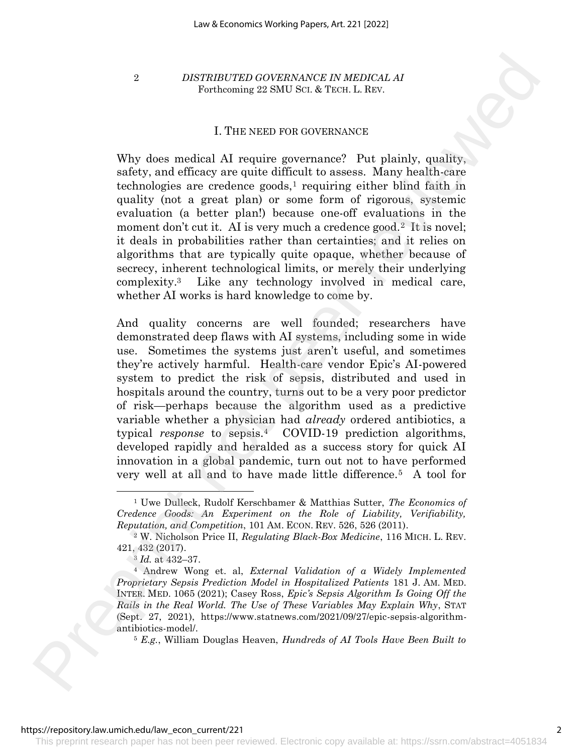### I. THE NEED FOR GOVERNANCE

Why does medical AI require governance? Put plainly, quality, safety, and efficacy are quite difficult to assess. Many health-care  $technologies$  are credence goods,<sup>1</sup> requiring either blind faith in quality (not a great plan) or some form of rigorous, systemic evaluation (a better plan!) because one-off evaluations in the moment don't cut it. AI is very much a credence good.<sup>2</sup> It is novel; it deals in probabilities rather than certainties; and it relies on algorithms that are typically quite opaque, whether because of secrecy, inherent technological limits, or merely their underlying complexity.3 Like any technology involved in medical care, whether AI works is hard knowledge to come by.

And quality concerns are well founded; researchers have demonstrated deep flaws with AI systems, including some in wide use. Sometimes the systems just aren't useful, and sometimes they're actively harmful. Health-care vendor Epic's AI-powered system to predict the risk of sepsis, distributed and used in hospitals around the country, turns out to be a very poor predictor of risk—perhaps because the algorithm used as a predictive variable whether a physician had *already* ordered antibiotics, a typical *response* to sepsis.4 COVID-19 prediction algorithms, developed rapidly and heralded as a success story for quick AI innovation in a global pandemic, turn out not to have performed very well at all and to have made little difference.5 A tool for 2 BISTRIFUTFIO GOVERNMANCE IN MEDICAL A Representation of the system of the system of the system of the system of the system of the system of the system of the system of the system of the system of the system of the syste

<sup>1</sup> Uwe Dulleck, Rudolf Kerschbamer & Matthias Sutter, *The Economics of Credence Goods: An Experiment on the Role of Liability, Verifiability, Reputation, and Competition*, 101 AM. ECON. REV. 526, 526 (2011).

<sup>2</sup> W. Nicholson Price II, *Regulating Black-Box Medicine*, 116 MICH. L. REV. 421, 432 (2017).

<sup>3</sup> *Id.* at 432–37.

<sup>4</sup> Andrew Wong et. al, *External Validation of a Widely Implemented Proprietary Sepsis Prediction Model in Hospitalized Patients* 181 J. AM. MED. INTER. MED. 1065 (2021); Casey Ross, *Epic's Sepsis Algorithm Is Going Off the Rails in the Real World. The Use of These Variables May Explain Why*, STAT (Sept. 27, 2021), https://www.statnews.com/2021/09/27/epic-sepsis-algorithmantibiotics-model/.

<sup>5</sup> *E.g.*, William Douglas Heaven, *Hundreds of AI Tools Have Been Built to*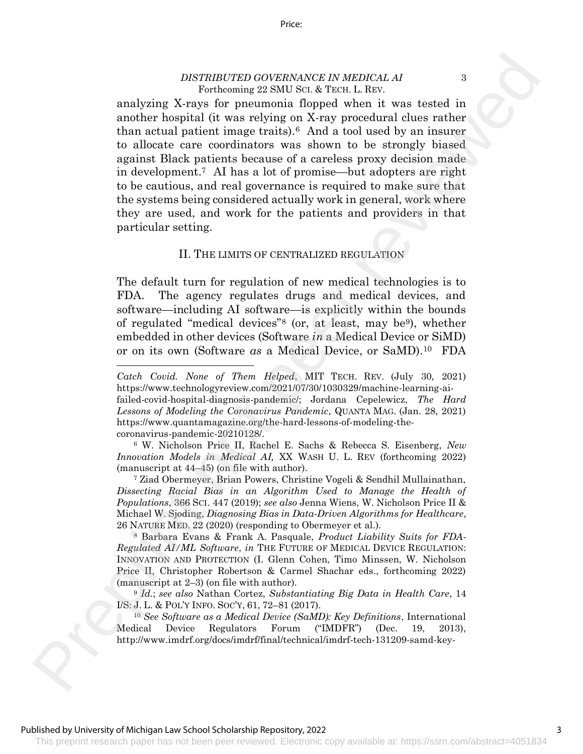analyzing X-rays for pneumonia flopped when it was tested in another hospital (it was relying on X-ray procedural clues rather than actual patient image traits).6 And a tool used by an insurer to allocate care coordinators was shown to be strongly biased against Black patients because of a careless proxy decision made in development.7 AI has a lot of promise—but adopters are right to be cautious, and real governance is required to make sure that the systems being considered actually work in general, work where they are used, and work for the patients and providers in that particular setting. DESTRUITED GOVERNMANT IN MEDICAL AT  $\sim$  KW (1981). Th[e](http://www.imdrf.org/docs/imdrf/final/technical/imdrf-tech-131209-samd-key-definitions-140901.pdf)refore is [t](https://www.technologyreview.com/2021/07/30/1030329/machine-learning-ai-failed-covid-hospital-diagnosis-pandemic/)he state of the state of the state of the state of the state of the state of the state of the state of the state of the state of the state of the state of

#### <span id="page-3-0"></span>II. THE LIMITS OF CENTRALIZED REGULATION

The default turn for regulation of new medical technologies is to FDA. The agency regulates drugs and medical devices, and software—including AI software—is explicitly within the bounds of regulated "medical devices"<sup>8</sup> (or, at least, may be9), whether embedded in other devices (Software *in* a Medical Device or SiMD) or on its own (Software *as* a Medical Device, or SaMD).10 FDA

<sup>6</sup> W. Nicholson Price II, Rachel E. Sachs & Rebecca S. Eisenberg, *New Innovation Models in Medical AI,* XX WASH U. L. REV (forthcoming 2022) (manuscript at 44–45) (on file with author).

<sup>7</sup> Ziad Obermeyer, Brian Powers, Christine Vogeli & Sendhil Mullainathan, *Dissecting Racial Bias in an Algorithm Used to Manage the Health of Populations*, 366 SCI. 447 (2019); *see also* Jenna Wiens, W. Nicholson Price II & Michael W. Sjoding, *Diagnosing Bias in Data-Driven Algorithms for Healthcare*, 26 NATURE MED. 22 (2020) (responding to Obermeyer et al.).

<sup>8</sup> Barbara Evans & Frank A. Pasquale, *Product Liability Suits for FDA-Regulated AI/ML Software*, *in* THE FUTURE OF MEDICAL DEVICE REGULATION: INNOVATION AND PROTECTION (I. Glenn Cohen, Timo Minssen, W. Nicholson Price II, Christopher Robertson & Carmel Shachar eds., forthcoming 2022) (manuscript at 2–3) (on file with author).

<sup>9</sup> *Id.*; *see also* Nathan Cortez, *Substantiating Big Data in Health Care*, 14 I/S: J. L. & POL'Y INFO. SOC'Y, 61, 72–81 (2017).

<sup>10</sup> *See Software as a Medical Device (SaMD): Key Definitions*, International Medical Device Regulators Forum ("IMDFR") (Dec. 19, 2013), http://www.imdrf.org/docs/imdrf/final/technical/imdrf-tech-131209-samd-key-

#### Published by University of Michigan Law School Scholarship Repository, 2022

This preprint research paper has not been peer reviewed. Electronic copy available at: https://ssrn.com/abstract=4051834

3

*Catch Covid. None of Them Helped*, MIT TECH. REV. (July 30, 2021) https://www.technologyreview.com/2021/07/30/1030329/machine-learning-aifailed-covid-hospital-diagnosis-pandemic/; Jordana Cepelewicz, *The Hard* 

*Lessons of Modeling the Coronavirus Pandemic*, QUANTA MAG. (Jan. 28, 2021) https://www.quantamagazine.org/the-hard-lessons-of-modeling-thecoronavirus-pandemic-20210128/.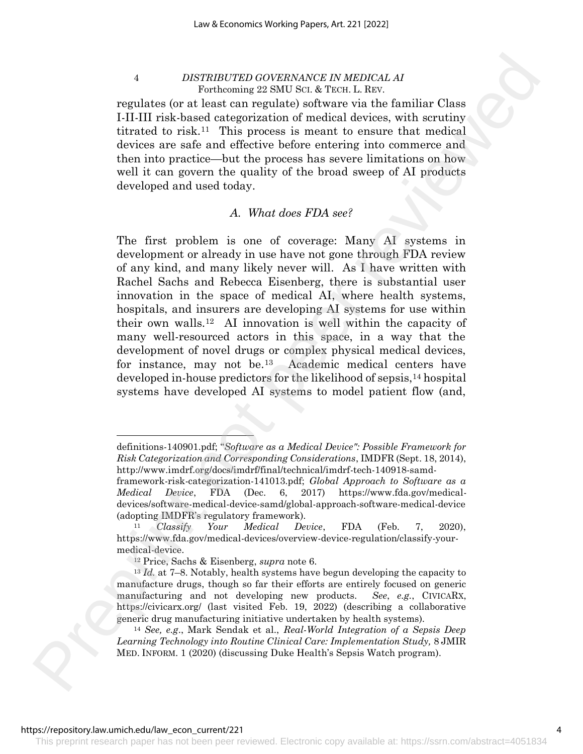regulates (or at least can regulate) software via the familiar Class I-II-III risk-based categorization of medical devices, with scrutiny titrated to risk.11 This process is meant to ensure that medical devices are safe and effective before entering into commerce and then into practice—but the process has severe limitations on how well it can govern the quality of the broad sweep of AI products developed and used today.

# *A. What does FDA see?*

The first problem is one of coverage: Many AI systems in development or already in use have not gone through FDA review of any kind, and many likely never will. As I have written with Rachel Sachs and Rebecca Eisenberg, there is substantial user innovation in the space of medical AI, where health systems, hospitals, and insurers are developing AI systems for use within their own walls.12 AI innovation is well within the capacity of many well-resourced actors in this space, in a way that the development of novel drugs or complex physical medical devices, for instance, may not be.13 Academic medical centers have developed in-house predictors for the likelihood of sepsis,<sup>14</sup> hospital systems have developed AI systems to model patient flow (and, 4 *BESTIMITERS GEUERANANCE IN MERCHA. A*<br>regulate for all converting 220 MBMANCE IN MERCHA. A<br>regulate for all cases results of a set of a set of a set of a set of a<br>straight converting in the form of the change of a set

definitions-140901.pdf; "*Software as a Medical Device": Possible Framework for Risk Categorization and Corresponding Considerations*, IMDFR (Sept. 18, 2014), http://www.imdrf.org/docs/imdrf/final/technical/imdrf-tech-140918-samd-

framework-risk-categorization-141013.pdf; *Global Approach to Software as a Medical Device*, FDA (Dec. 6, 2017) https://www.fda.gov/medicaldevices/software-medical-device-samd/global-approach-software-medical-device (adopting IMDFR's regulatory framework).

<sup>11</sup> *Classify Your Medical Device*, FDA (Feb. 7, 2020), https://www.fda.gov/medical-devices/overview-device-regulation/classify-yourmedical-device.

<sup>12</sup> Price, Sachs & Eisenberg, *supra* note 6.

<sup>13</sup> *Id.* at 7–8. Notably, health systems have begun developing the capacity to manufacture drugs, though so far their efforts are entirely focused on generic manufacturing and not developing new products. *See*, *e.g.*, CIVICARX, https://civicarx.org/ (last visited Feb. 19, 2022) (describing a collaborative generic drug manufacturing initiative undertaken by health systems).

<sup>14</sup> *See, e.g*., Mark Sendak et al., *Real-World Integration of a Sepsis Deep Learning Technology into Routine Clinical Care: Implementation Study,* 8 JMIR MED. INFORM. 1 (2020) (discussing Duke Health's Sepsis Watch program).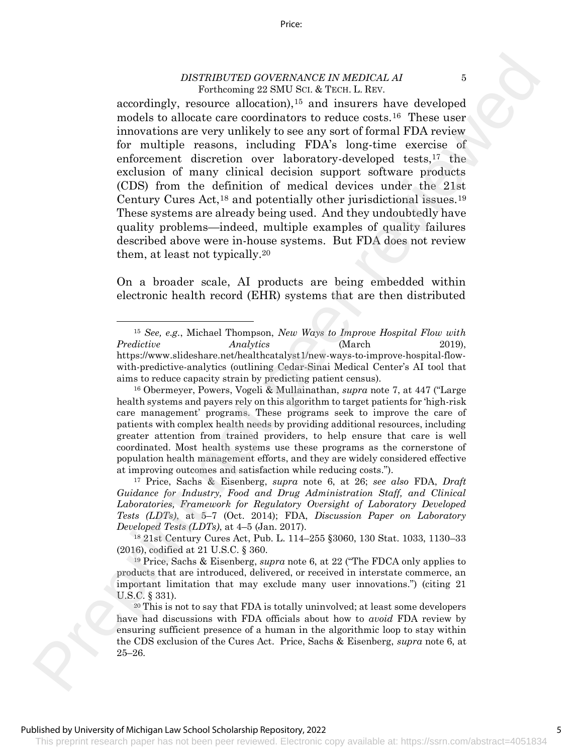accordingly, resource allocation),<sup>15</sup> and insurers have developed models to allocate care coordinators to reduce costs.16 These user innovations are very unlikely to see any sort of formal FDA review for multiple reasons, including FDA's long-time exercise of enforcement discretion over laboratory-developed tests,<sup>17</sup> the exclusion of many clinical decision support software products (CDS) from the definition of medical devices under the 21st Century Cures Act,<sup>18</sup> and potentially other jurisdictional issues.<sup>19</sup> These systems are already being used. And they undoubtedly have quality problems—indeed, multiple examples of quality failures described above were in-house systems. But FDA does not review them, at least not typically.<sup>20</sup> DESTRIFTED GOVERNANCE IN MEDICAL AT A received in Four Lines. The matrix is considered to the same reviewed in the same reviewed in the same results of the same results of the same results of the same results of the same

On a broader scale, AI products are being embedded within electronic health record (EHR) systems that are then distributed

<sup>15</sup> *See, e.g.*, Michael Thompson, *New Ways to Improve Hospital Flow with Predictive Analytics* (March 2019), https://www.slideshare.net/healthcatalyst1/new-ways-to-improve-hospital-flowwith-predictive-analytics (outlining Cedar-Sinai Medical Center's AI tool that aims to reduce capacity strain by predicting patient census).

<sup>16</sup> Obermeyer, Powers, Vogeli & Mullainathan, *supra* note 7, at 447 ("Large health systems and payers rely on this algorithm to target patients for 'high-risk care management' programs. These programs seek to improve the care of patients with complex health needs by providing additional resources, including greater attention from trained providers, to help ensure that care is well coordinated. Most health systems use these programs as the cornerstone of population health management efforts, and they are widely considered effective at improving outcomes and satisfaction while reducing costs.").

<sup>17</sup> Price, Sachs & Eisenberg, *supra* note 6, at 26; *see also* FDA, *Draft Guidance for Industry, Food and Drug Administration Staff, and Clinical Laboratories, Framework for Regulatory Oversight of Laboratory Developed Tests (LDTs)*, at 5–7 (Oct. 2014); FDA, *Discussion Paper on Laboratory Developed Tests (LDTs)*, at 4–5 (Jan. 2017).

<sup>18</sup> 21st Century Cures Act, Pub. L. 114–255 §3060, 130 Stat. 1033, 1130–33 (2016), codified at 21 U.S.C. § 360.

<sup>19</sup> Price, Sachs & Eisenberg, *supra* note 6, at 22 ("The FDCA only applies to products that are introduced, delivered, or received in interstate commerce, an important limitation that may exclude many user innovations.") (citing 21 U.S.C. § 331).

<sup>20</sup> This is not to say that FDA is totally uninvolved; at least some developers have had discussions with FDA officials about how to *avoid* FDA review by ensuring sufficient presence of a human in the algorithmic loop to stay within the CDS exclusion of the Cures Act. Price, Sachs & Eisenberg, *supra* note 6, at 25–26.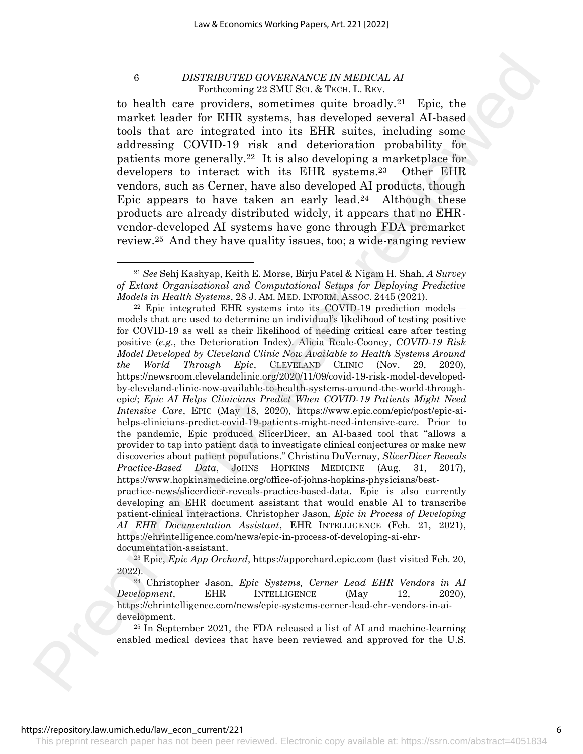to health care providers, sometimes quite broadly.21 Epic, the market leader for EHR systems, has developed several AI-based tools that are integrated into its EHR suites, including some addressing COVID-19 risk and deterioration probability for patients more generally.22 It is also developing a marketplace for developers to interact with its EHR systems.23 Other EHR vendors, such as Cerner, have also developed AI products, though Epic appears to have taken an early lead.24 Although these products are already distributed widely, it appears that no EHRvendor-developed AI systems have gone through FDA premarket review.<sup>25</sup> And they have quality issues, too; a wide-ranging review

<sup>23</sup> Epic, *Epic App Orchard*, https://apporchard.epic.com (last visited Feb. 20, 2022).

<sup>25</sup> In September 2021, the FDA released a list of AI and machine-learning enabled medical devices that have been reviewed and approved for the U.S.

#### https://repository.law.umich.edu/law\_econ\_current/221

<sup>21</sup> *See* Sehj Kashyap, Keith E. Morse, Birju Patel & Nigam H. Shah, *A Survey of Extant Organizational and Computational Setups for Deploying Predictive Models in Health Systems*, 28 J. AM. MED. INFORM. ASSOC. 2445 (2021).

<sup>22</sup> Epic integrated EHR systems into its COVID-19 prediction models–– models that are used to determine an individual's likelihood of testing positive for COVID-19 as well as their likelihood of needing critical care after testing positive (*e.g.*, the Deterioration Index). Alicia Reale-Cooney, *COVID-19 Risk Model Developed by Cleveland Clinic Now Available to Health Systems Around the World Through Epic*, CLEVELAND CLINIC (Nov. 29, 2020), https://newsroom.clevelandclinic.org/2020/11/09/covid-19-risk-model-developedby-cleveland-clinic-now-available-to-health-systems-around-the-world-throughepic/; *Epic AI Helps Clinicians Predict When COVID-19 Patients Might Need Intensive Care*, EPIC (May 18, 2020), https://www.epic.com/epic/post/epic-aihelps-clinicians-predict-covid-19-patients-might-need-intensive-care. Prior to the pandemic, Epic produced SlicerDicer, an AI-based tool that "allows a provider to tap into patient data to investigate clinical conjectures or make new discoveries about patient populations." Christina DuVernay, *SlicerDicer Reveals Practice-Based Data*, JoHNS HOPKINS MEDICINE (Aug. 31, 2017), https://www.hopkinsmedicine.org/office-of-johns-hopkins-physicians/bestpractice-news/slicerdicer-reveals-practice-based-data. Epic is also currently developing an EHR document assistant that would enable AI to transcribe 6 **IDENTIFY (2019)** *DENTIFY (2019) DENTIFY (2019) DENTIFY (2019) DENTIFY (2019)* **Example 2 Example 2 Example 2 Example 2 Example 2 Example 2 Example 2 Example 2 Example 2 Example 2 Example 2**

patient-clinical interactions. Christopher Jason, *Epic in Process of Developing AI EHR Documentation Assistant*, EHR INTELLIGENCE (Feb. 21, 2021), https://ehrintelligence.com/news/epic-in-process-of-developing-ai-ehrdocumentation-assistant.

<sup>24</sup> Christopher Jason, *Epic Systems, Cerner Lead EHR Vendors in AI Development*, EHR INTELLIGENCE (May 12, 2020), https://ehrintelligence.com/news/epic-systems-cerner-lead-ehr-vendors-in-aidevelopment.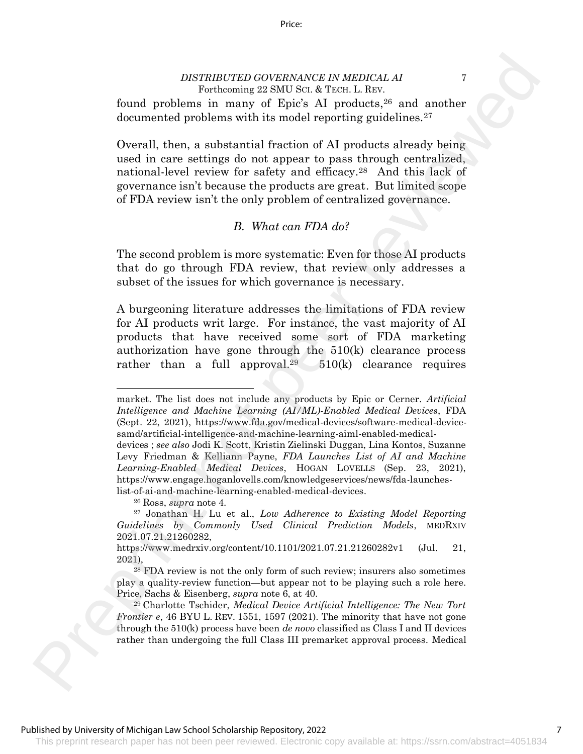Price:

found problems in many of Epic's AI products, <sup>26</sup> and another documented problems with its model reporting guidelines.<sup>27</sup>

Overall, then, a substantial fraction of AI products already being used in care settings do not appear to pass through centralized, national-level review for safety and efficacy.<sup>28</sup> And this lack of governance isn't because the products are great. But limited scope of FDA review isn't the only problem of centralized governance.

# *B. What can FDA do?*

The second problem is more systematic: Even for those AI products that do go through FDA review, that review only addresses a subset of the issues for which governance is necessary.

A burgeoning literature addresses the limitations of FDA review for AI products writ large. For instance, the vast majority of AI products that have received some sort of FDA marketing authorization have gone through the 510(k) clearance process rather than a full approval.<sup>29</sup>  $510(k)$  clearance requires DESTRUITED GOVERNANCE IN MEDICAL AT  $\sim$  Freedom and predic[t](https://www.engage.hoganlovells.com/knowledgeservices/news/fda-launches-list-of-ai-and-machine-learning-enabled-medical-devices)io[n](https://www.engage.hoganlovells.com/knowledgeservices/news/fda-launches-list-of-ai-and-machine-learning-enabled-medical-devices)s in many of Eqs. Statistical Predictions and another performed probabilities and another become for the performance of the prediction and the statistical Pre

<sup>26</sup> Ross, *supra* note 4.

market. The list does not include any products by Epic or Cerner. *Artificial Intelligence and Machine Learning (AI/ML)-Enabled Medical Devices*, FDA (Sept. 22, 2021), https://www.fda.gov/medical-devices/software-medical-devicesamd/artificial-intelligence-and-machine-learning-aiml-enabled-medical-

devices ; *see also* Jodi K. Scott, Kristin Zielinski Duggan, Lina Kontos, Suzanne Levy Friedman & Kelliann Payne, *FDA Launches List of AI and Machine Learning-Enabled Medical Devices*, HOGAN LOVELLS (Sep. 23, 2021), https://www.engage.hoganlovells.com/knowledgeservices/news/fda-launcheslist-of-ai-and-machine-learning-enabled-medical-devices.

<sup>27</sup> Jonathan H. Lu et al., *Low Adherence to Existing Model Reporting Guidelines by Commonly Used Clinical Prediction Models*, MEDRXIV 2021.07.21.21260282,

https://www.medrxiv.org/content/10.1101/2021.07.21.21260282v1 (Jul. 21, 2021),

<sup>28</sup> FDA review is not the only form of such review; insurers also sometimes play a quality-review function—but appear not to be playing such a role here. Price, Sachs & Eisenberg, *supra* note 6, at 40.

<sup>29</sup> Charlotte Tschider, *Medical Device Artificial Intelligence: The New Tort Frontier e*, 46 BYU L. REV. 1551, 1597 (2021). The minority that have not gone through the 510(k) process have been *de novo* classified as Class I and II devices rather than undergoing the full Class III premarket approval process. Medical

This preprint research paper has not been peer reviewed. Electronic copy available at: https://ssrn.com/abstract=4051834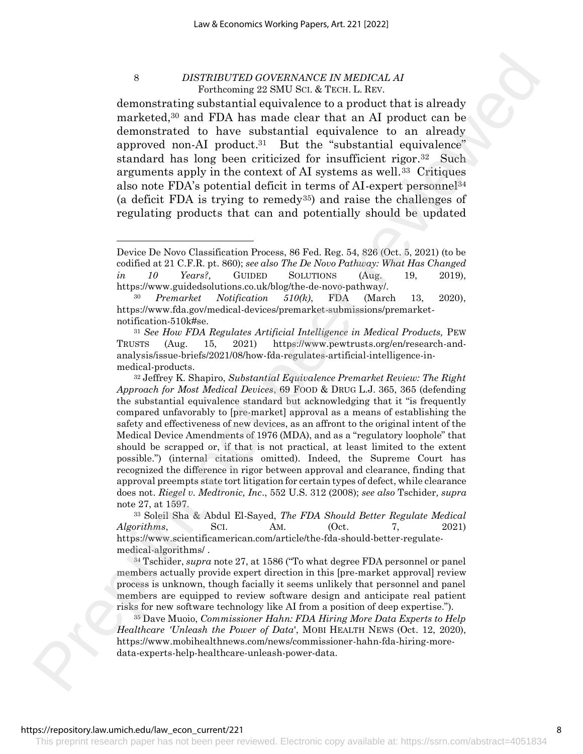demonstrating substantial equivalence to a product that is already marketed,<sup>30</sup> and FDA has made clear that an AI product can be demonstrated to have substantial equivalence to an already approved non-AI product. <sup>31</sup> But the "substantial equivalence" standard has long been criticized for insufficient rigor.32 Such arguments apply in the context of AI systems as well.33 Critiques also note FDA's potential deficit in terms of AI-expert personnel<sup>34</sup> (a deficit FDA is trying to remedy<sup>35</sup>) and raise the challenges of regulating products that can and potentially should be updated

Device De Novo Classification Process, 86 Fed. Reg. 54, 826 (Oct. 5, 2021) (to be codified at 21 C.F.R. pt. 860); *see also The De Novo Pathway: What Has Changed in 10 Years?,* GUIDED SOLUTIONS (Aug. 19, 2019), https://www.guidedsolutions.co.uk/blog/the-de-novo-pathway/.

<sup>30</sup> *Premarket Notification 510(k)*, FDA (March 13, 2020), https://www.fda.gov/medical-devices/premarket-submissions/premarketnotification-510k#se.

<sup>31</sup> *See How FDA Regulates Artificial Intelligence in Medical Products,* PEW TRUSTS (Aug. 15, 2021) https://www.pewtrusts.org/en/research-andanalysis/issue-briefs/2021/08/how-fda-regulates-artificial-intelligence-inmedical-products.

<sup>32</sup> Jeffrey K. Shapiro, *Substantial Equivalence Premarket Review: The Right Approach for Most Medical Devices*, 69 FOOD & DRUG L.J. 365, 365 (defending the substantial equivalence standard but acknowledging that it "is frequently compared unfavorably to [pre-market] approval as a means of establishing the safety and effectiveness of new devices, as an affront to the original intent of the Medical Device Amendments of 1976 (MDA), and as a "regulatory loophole" that should be scrapped or, if that is not practical, at least limited to the extent possible.") (internal citations omitted). Indeed, the Supreme Court has recognized the difference in rigor between approval and clearance, finding that approval preempts state tort litigation for certain types of defect, while clearance does not. *Riegel v. Medtronic, Inc*., 552 U.S. 312 (2008); *see also* Tschider*, supra*  note 27, at 1597. S **PREMIUS THE CONSULTER CONSULTANT AN ARTERIC LEARN 1.** Th[e](https://www.mobihealthnews.com/news/commissioner-hahn-fda-hiring-more-data-experts-help-healthcare-unleash-power-data)re is the set of the set of the set of the set of the set of the set of the set of the set of the set of the set of the set of the set of the set of the set of t

<sup>33</sup> Soleil Sha & Abdul El-Sayed, *The FDA Should Better Regulate Medical Algorithms*, SCI. AM. (Oct. 7, 2021) https://www.scientificamerican.com/article/the-fda-should-better-regulatemedical-algorithms/ .

<sup>34</sup> Tschider, *supra* note 27, at 1586 ("To what degree FDA personnel or panel members actually provide expert direction in this [pre-market approval] review process is unknown, though facially it seems unlikely that personnel and panel members are equipped to review software design and anticipate real patient risks for new software technology like AI from a position of deep expertise.").

<sup>35</sup> Dave Muoio, *Commissioner Hahn: FDA Hiring More Data Experts to Help Healthcare 'Unleash the Power of Data*', MOBI HEALTH NEWS (Oct. 12, 2020), https://www.mobihealthnews.com/news/commissioner-hahn-fda-hiring-moredata-experts-help-healthcare-unleash-power-data.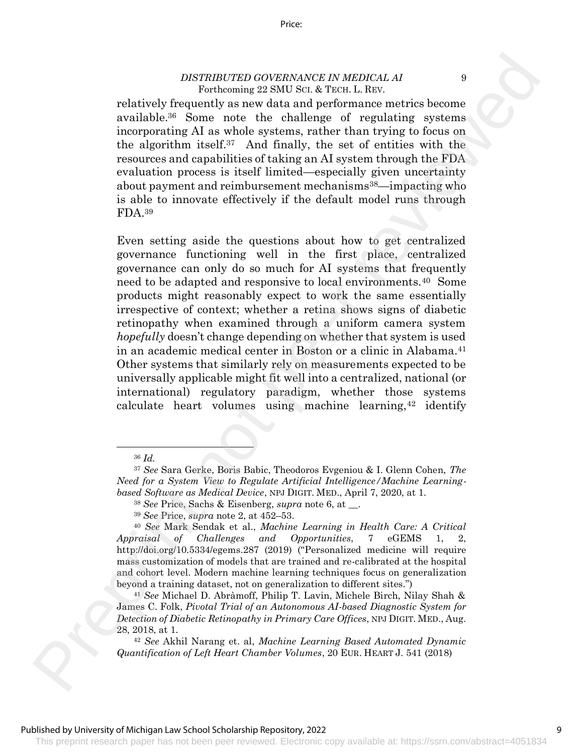relatively frequently as new data and performance metrics become available.<sup>36</sup> Some note the challenge of regulating systems incorporating AI as whole systems, rather than trying to focus on the algorithm itself.37 And finally, the set of entities with the resources and capabilities of taking an AI system through the FDA evaluation process is itself limited—especially given uncertainty about payment and reimbursement mechanisms<sup>38</sup>—impacting who is able to innovate effectively if the default model runs through FDA.<sup>39</sup>

Even setting aside the questions about how to get centralized governance functioning well in the first place, centralized governance can only do so much for AI systems that frequently need to be adapted and responsive to local environments.40 Some products might reasonably expect to work the same essentially irrespective of context; whether a retina shows signs of diabetic retinopathy when examined through a uniform camera system *hopefully* doesn't change depending on whether that system is used in an academic medical center in Boston or a clinic in Alabama.<sup>41</sup> Other systems that similarly rely on measurements expected to be universally applicable might fit well into a centralized, national (or international) regulatory paradigm, whether those systems calculate heart volumes using machine learning,  $42$  identify DESTRUITERED GOVERNANCE IN MEDICAL AT  $\alpha$ <br>
relatively frequencily as new dial and performance onciries boostness<br>
reviewed as a set of set of the change of regularity as yssemation<br>
incorrecting Ad as what a system, rath

<sup>41</sup> *See* Michael D. Abràmoff, Philip T. Lavin, Michele Birch, Nilay Shah & James C. Folk, *Pivotal Trial of an Autonomous AI-based Diagnostic System for Detection of Diabetic Retinopathy in Primary Care Offices*, NPJ DIGIT. MED., Aug. 28, 2018, at 1.

<sup>36</sup> *Id.* 

<sup>37</sup> *See* Sara Gerke, Boris Babic, Theodoros Evgeniou & I. Glenn Cohen, *The Need for a System View to Regulate Artificial Intelligence/Machine Learningbased Software as Medical Device*, NPJ DIGIT. MED., April 7, 2020, at 1.

<sup>38</sup> *See* Price, Sachs & Eisenberg, *supra* note 6, at \_\_.

<sup>39</sup> *See* Price, *supra* note 2, at 452–53.

<sup>40</sup> *See* Mark Sendak et al., *Machine Learning in Health Care: A Critical Appraisal of Challenges and Opportunities*, 7 eGEMS 1, 2, http://doi.org/10.5334/egems.287 (2019) ("Personalized medicine will require mass customization of models that are trained and re-calibrated at the hospital and cohort level. Modern machine learning techniques focus on generalization beyond a training dataset, not on generalization to different sites.")

<sup>42</sup> *See* Akhil Narang et. al, *Machine Learning Based Automated Dynamic Quantification of Left Heart Chamber Volumes*, 20 EUR. HEART J. 541 (2018)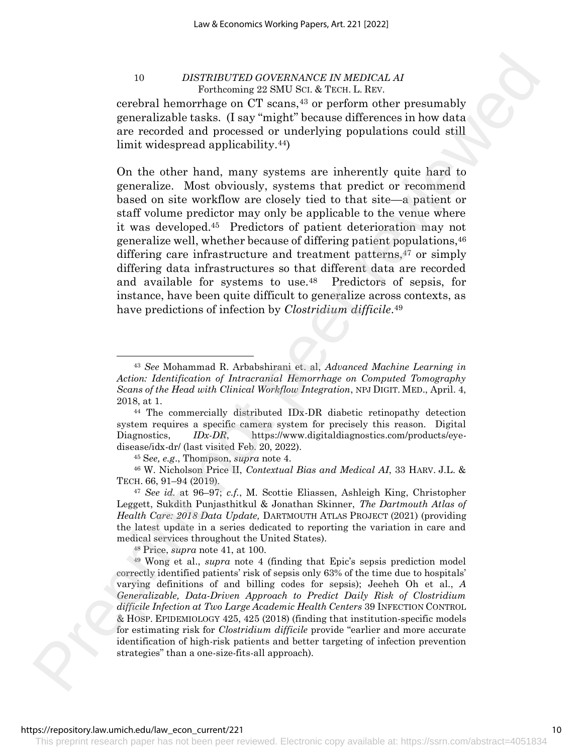cerebral hemorrhage on CT scans,<sup>43</sup> or perform other presumably generalizable tasks. (I say "might" because differences in how data are recorded and processed or underlying populations could still limit widespread applicability.44)

On the other hand, many systems are inherently quite hard to generalize. Most obviously, systems that predict or recommend based on site workflow are closely tied to that site—a patient or staff volume predictor may only be applicable to the venue where it was developed.45 Predictors of patient deterioration may not generalize well, whether because of differing patient populations,<sup>46</sup> differing care infrastructure and treatment patterns,<sup>47</sup> or simply differing data infrastructures so that different data are recorded and available for systems to use.48 Predictors of sepsis, for instance, have been quite difficult to generalize across contexts, as have predictions of infection by *Clostridium difficile*. 49 For  $D$ . Interaction of  $D$  and  $\mathbf{X} \propto \mathbf{W}$  and  $\mathbf{X} \propto \mathbf{W}$  are the content of  $\mathbf{X} \propto \mathbf{W}$  and  $\mathbf{X} \propto \mathbf{W}$  are the set of  $\mathbf{X} \propto \mathbf{W}$  and  $\mathbf{X} \propto \mathbf{W}$  are the set of  $\mathbf{X} \propto \mathbf{W}$  an

<sup>48</sup> Price, *supra* note 41, at 100.

<sup>49</sup> Wong et al., *supra* note 4 (finding that Epic's sepsis prediction model correctly identified patients' risk of sepsis only 63% of the time due to hospitals' varying definitions of and billing codes for sepsis); Jeeheh Oh et al., *A Generalizable, Data-Driven Approach to Predict Daily Risk of Clostridium difficile Infection at Two Large Academic Health Centers* 39 INFECTION CONTROL & HOSP. EPIDEMIOLOGY 425, 425 (2018) (finding that institution-specific models for estimating risk for *Clostridium difficile* provide "earlier and more accurate identification of high-risk patients and better targeting of infection prevention strategies" than a one-size-fits-all approach).

<sup>43</sup> *See* Mohammad R. Arbabshirani et. al, *Advanced Machine Learning in Action: Identification of Intracranial Hemorrhage on Computed Tomography Scans of the Head with Clinical Workflow Integration*, NPJ DIGIT. MED., April. 4, 2018, at 1.

<sup>44</sup> The commercially distributed IDx-DR diabetic retinopathy detection system requires a specific camera system for precisely this reason. Digital Diagnostics, *IDx-DR*, https://www.digitaldiagnostics.com/products/eyedisease/idx-dr/ (last visited Feb. 20, 2022).

<sup>45</sup> S*ee, e.g*., Thompson, *supra* note 4.

<sup>46</sup> W. Nicholson Price II, *Contextual Bias and Medical AI*, 33 HARV. J.L. & TECH. 66, 91–94 (2019).

<sup>47</sup> *See id.* at 96–97; *c.f.*, M. Scottie Eliassen, Ashleigh King, Christopher Leggett, Sukdith Punjasthitkul & Jonathan Skinner, *The Dartmouth Atlas of Health Care: 2018 Data Update,* DARTMOUTH ATLAS PROJECT (2021) (providing the latest update in a series dedicated to reporting the variation in care and medical services throughout the United States).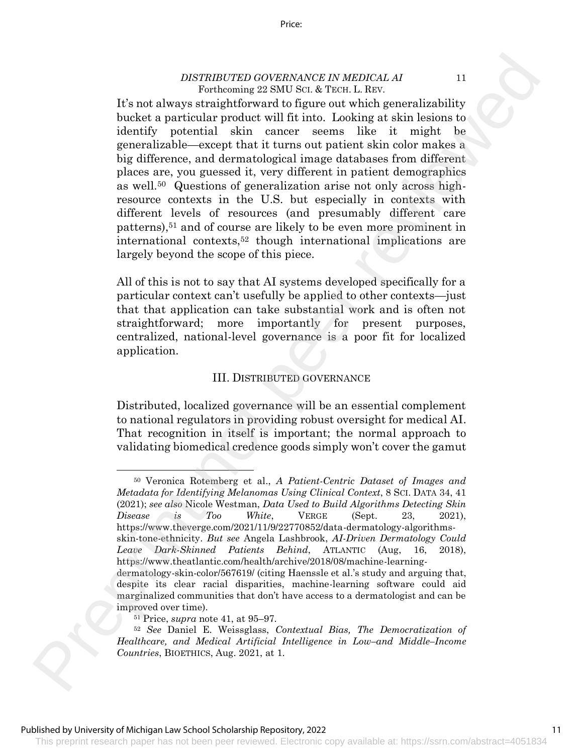It's not always straightforward to figure out which generalizability bucket a particular product will fit into. Looking at skin lesions to identify potential skin cancer seems like it might be generalizable—except that it turns out patient skin color makes a big difference, and dermatological image databases from different places are, you guessed it, very different in patient demographics as well.50 Questions of generalization arise not only across highresource contexts in the U.S. but especially in contexts with different levels of resources (and presumably different care patterns),<sup>51</sup> and of course are likely to be even more prominent in international contexts,<sup>52</sup> though international implications are largely beyond the scope of this piece. DESTRIFTED (GOVERNANCE IN MEDICAL AT (For the basebook of the state of the state of the state of the state of the state of the state of the state of the state of the state of the state of the state of the state of the sta

All of this is not to say that AI systems developed specifically for a particular context can't usefully be applied to other contexts—just that that application can take substantial work and is often not straightforward; more importantly for present purposes, centralized, national-level governance is a poor fit for localized application.

# III. DISTRIBUTED GOVERNANCE

Distributed, localized governance will be an essential complement to national regulators in providing robust oversight for medical AI. That recognition in itself is important; the normal approach to validating biomedical credence goods simply won't cover the gamut

<sup>50</sup> Veronica Rotemberg et al., *A Patient-Centric Dataset of Images and Metadata for Identifying Melanomas Using Clinical Context*, 8 SCI. DATA 34, 41 (2021); *see also* Nicole Westman, *Data Used to Build Algorithms Detecting Skin Disease is Too White*, VERGE (Sept. 23, 2021), https://www.theverge.com/2021/11/9/22770852/data-dermatology-algorithmsskin-tone-ethnicity. *But see* Angela Lashbrook, *AI-Driven Dermatology Could Leave Dark-Skinned Patients Behind*, ATLANTIC (Aug, 16, 2018), https://www.theatlantic.com/health/archive/2018/08/machine-learningdermatology-skin-color/567619/ (citing Haenssle et al.'s study and arguing that, despite its clear racial disparities, machine-learning software could aid marginalized communities that don't have access to a dermatologist and can be

improved over time).

<sup>51</sup> Price, *supra* note 41, at 95–97.

<sup>52</sup> *See* Daniel E. Weissglass, *Contextual Bias, The Democratization of Healthcare, and Medical Artificial Intelligence in Low–and Middle–Income Countries*, BIOETHICS, Aug. 2021, at 1.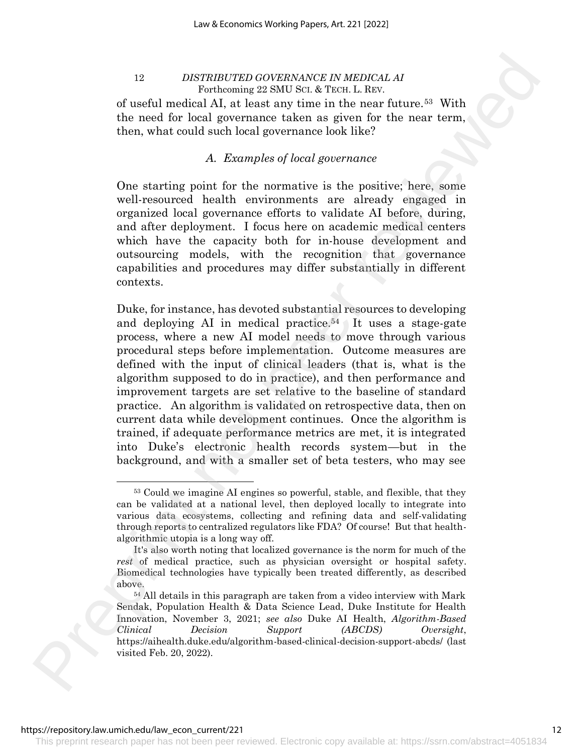of useful medical AI, at least any time in the near future.53 With the need for local governance taken as given for the near term, then, what could such local governance look like?

# *A. Examples of local governance*

One starting point for the normative is the positive; here, some well-resourced health environments are already engaged in organized local governance efforts to validate AI before, during, and after deployment. I focus here on academic medical centers which have the capacity both for in-house development and outsourcing models, with the recognition that governance capabilities and procedures may differ substantially in different contexts.

Duke, for instance, has devoted substantial resources to developing and deploying AI in medical practice.<sup>54</sup> It uses a stage-gate process, where a new AI model needs to move through various procedural steps before implementation. Outcome measures are defined with the input of clinical leaders (that is, what is the algorithm supposed to do in practice), and then performance and improvement targets are set relative to the baseline of standard practice. An algorithm is validated on retrospective data, then on current data while development continues. Once the algorithm is trained, if adequate performance metrics are met, it is integrated into Duke's electronic health records system—but in the background, and with a smaller set of beta testers, who may see 12 *IDENTIFUTED GEUERRANCE IN MEDICAL* A *M*<br>
In the fit are lead in model in the second that a X review Lead and the second the second the second and the second percentation of the model in the model in the second the se

<sup>53</sup> Could we imagine AI engines so powerful, stable, and flexible, that they can be validated at a national level, then deployed locally to integrate into various data ecosystems, collecting and refining data and self-validating through reports to centralized regulators like FDA? Of course! But that healthalgorithmic utopia is a long way off.

It's also worth noting that localized governance is the norm for much of the *rest* of medical practice, such as physician oversight or hospital safety. Biomedical technologies have typically been treated differently, as described above.

<sup>54</sup> All details in this paragraph are taken from a video interview with Mark Sendak, Population Health & Data Science Lead, Duke Institute for Health Innovation, November 3, 2021; *see also* Duke AI Health, *Algorithm-Based Clinical Decision Support (ABCDS) Oversight*, https://aihealth.duke.edu/algorithm-based-clinical-decision-support-abcds/ (last visited Feb. 20, 2022).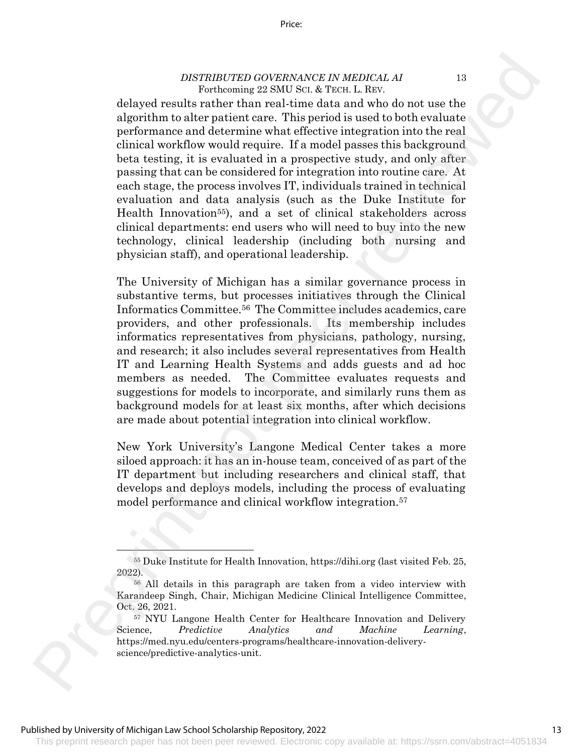delayed results rather than real-time data and who do not use the algorithm to alter patient care. This period is used to both evaluate performance and determine what effective integration into the real clinical workflow would require. If a model passes this background beta testing, it is evaluated in a prospective study, and only after passing that can be considered for integration into routine care. At each stage, the process involves IT, individuals trained in technical evaluation and data analysis (such as the Duke Institute for Health Innovation<sup>55</sup>), and a set of clinical stakeholders across clinical departments: end users who will need to buy into the new technology, clinical leadership (including both nursing and physician staff), and operational leadership. DESTRIFTED GOVERNMATIC IN MEDICAL To the control of the present of the system of the control of the system of the control of the control of the control of performance and delectrointy cancel and the preformance and delect

The University of Michigan has a similar governance process in substantive terms, but processes initiatives through the Clinical Informatics Committee.56 The Committee includes academics, care providers, and other professionals. Its membership includes informatics representatives from physicians, pathology, nursing, and research; it also includes several representatives from Health IT and Learning Health Systems and adds guests and ad hoc members as needed. The Committee evaluates requests and suggestions for models to incorporate, and similarly runs them as background models for at least six months, after which decisions are made about potential integration into clinical workflow.

New York University's Langone Medical Center takes a more siloed approach: it has an in-house team, conceived of as part of the IT department but including researchers and clinical staff, that develops and deploys models, including the process of evaluating model performance and clinical workflow integration.<sup>57</sup>

<sup>55</sup> Duke Institute for Health Innovation, https://dihi.org (last visited Feb. 25, 2022).

<sup>56</sup> All details in this paragraph are taken from a video interview with Karandeep Singh, Chair, Michigan Medicine Clinical Intelligence Committee, Oct. 26, 2021.

<sup>57</sup> NYU Langone Health Center for Healthcare Innovation and Delivery Science, *Predictive Analytics and Machine Learning*, https://med.nyu.edu/centers-programs/healthcare-innovation-deliveryscience/predictive-analytics-unit.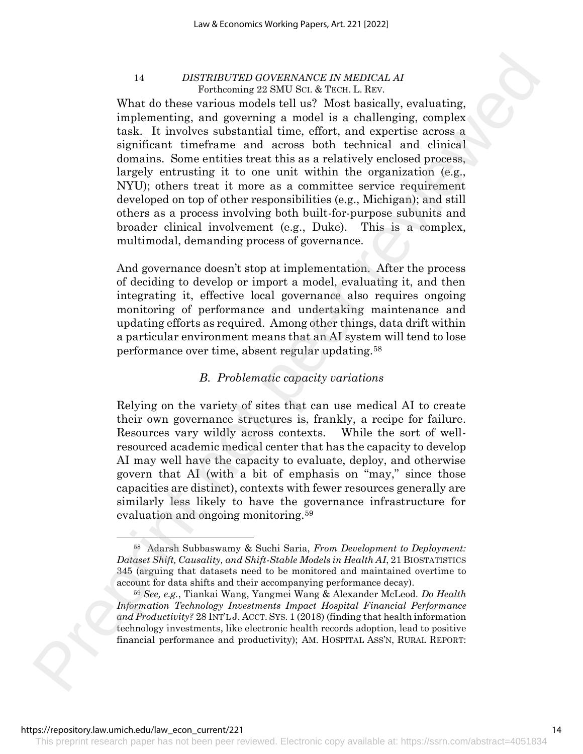What do these various models tell us? Most basically, evaluating, implementing, and governing a model is a challenging, complex task. It involves substantial time, effort, and expertise across a significant timeframe and across both technical and clinical domains. Some entities treat this as a relatively enclosed process, largely entrusting it to one unit within the organization (e.g., NYU); others treat it more as a committee service requirement developed on top of other responsibilities (e.g., Michigan); and still others as a process involving both built-for-purpose subunits and broader clinical involvement (e.g., Duke). This is a complex, multimodal, demanding process of governance. <sup>14</sup> *Internalisting contents of*  $\sim$  *16 and the secondary of the secondary contents of the secondary contents of the secondary contents of the secondary of a secondary contents are the secondary of the secondary of the s* 

And governance doesn't stop at implementation. After the process of deciding to develop or import a model, evaluating it, and then integrating it, effective local governance also requires ongoing monitoring of performance and undertaking maintenance and updating efforts as required. Among other things, data drift within a particular environment means that an AI system will tend to lose performance over time, absent regular updating.<sup>58</sup>

# *B. Problematic capacity variations*

Relying on the variety of sites that can use medical AI to create their own governance structures is, frankly, a recipe for failure. Resources vary wildly across contexts. While the sort of wellresourced academic medical center that has the capacity to develop AI may well have the capacity to evaluate, deploy, and otherwise govern that AI (with a bit of emphasis on "may," since those capacities are distinct), contexts with fewer resources generally are similarly less likely to have the governance infrastructure for evaluation and ongoing monitoring.<sup>59</sup>

<sup>58</sup> Adarsh Subbaswamy & Suchi Saria, *From Development to Deployment: Dataset Shift, Causality, and Shift-Stable Models in Health AI*, 21 BIOSTATISTICS 345 (arguing that datasets need to be monitored and maintained overtime to account for data shifts and their accompanying performance decay).

<sup>59</sup> *See, e.g.*, Tiankai Wang, Yangmei Wang & Alexander McLeod. *Do Health Information Technology Investments Impact Hospital Financial Performance and Productivity?* 28 INT'L J. ACCT. SYS.1 (2018) (finding that health information technology investments, like electronic health records adoption, lead to positive financial performance and productivity); AM. HOSPITAL ASS'N, RURAL REPORT: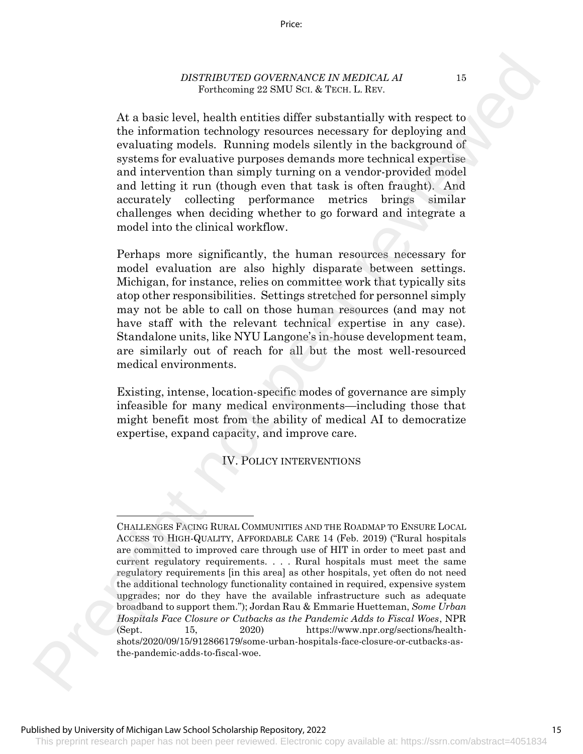At a basic level, health entities differ substantially with respect to the information technology resources necessary for deploying and evaluating models. Running models silently in the background of systems for evaluative purposes demands more technical expertise and intervention than simply turning on a vendor-provided model and letting it run (though even that task is often fraught). And accurately collecting performance metrics brings similar challenges when deciding whether to go forward and integrate a model into the clinical workflow.

Perhaps more significantly, the human resources necessary for model evaluation are also highly disparate between settings. Michigan, for instance, relies on committee work that typically sits atop other responsibilities. Settings stretched for personnel simply may not be able to call on those human resources (and may not have staff with the relevant technical expertise in any case). Standalone units, like NYU Langone's in-house development team, are similarly out of reach for all but the most well-resourced medical environments.

Existing, intense, location-specific modes of governance are simply infeasible for many medical environments—including those that might benefit most from the ability of medical AI to democratize expertise, expand capacity, and improve care.

#### IV. POLICY INTERVENTIONS

CHALLENGES FACING RURAL COMMUNITIES AND THE ROADMAP TO ENSURE LOCAL ACCESS TO HIGH-QUALITY, AFFORDABLE CARE 14 (Feb. 2019) ("Rural hospitals are committed to improved care through use of HIT in order to meet past and current regulatory requirements. . . . Rural hospitals must meet the same regulatory requirements [in this area] as other hospitals, yet often do not need the additional technology functionality contained in required, expensive system upgrades; nor do they have the available infrastructure such as adequate broadband to support them."); Jordan Rau & Emmarie Huetteman, *Some Urban Hospitals Face Closure or Cutbacks as the Pandemic Adds to Fiscal Woes*, NPR (Sept. 15, 2020) https://www.npr.org/sections/healthshots/2020/09/15/912866179/some-urban-hospitals-face-closure-or-cutbacks-asthe-pandemic-adds-to-fiscal-woe. DESTRITUTE BOOTHNAINTE IN MEDICAL AT  $\sim$  Pr[e](https://www.npr.org/sections/health-shots/2020/09/15/912866179/some-urban-hospitals-face-closure-or-cutbacks-as-the-pandemic-adds-to-fiscal-woe)scription of the state of the state of the performance of the performance of the performance of the performance of the performance of the performance of the performance of the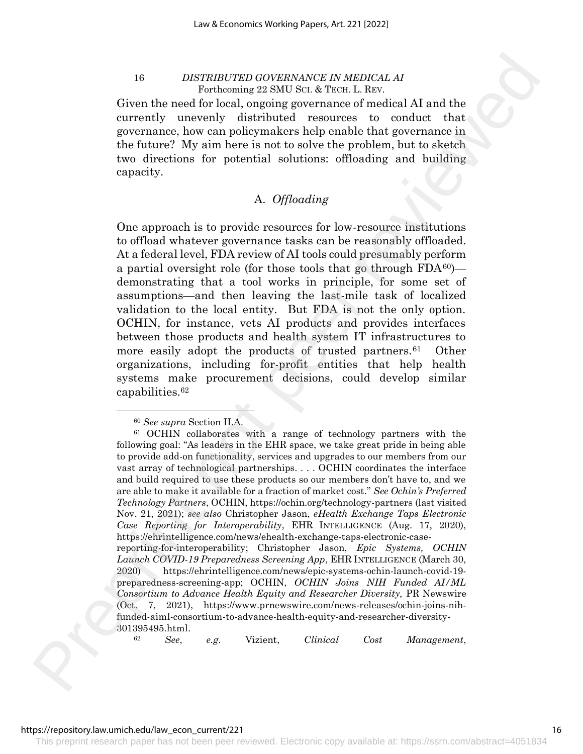Given the need for local, ongoing governance of medical AI and the currently unevenly distributed resources to conduct that governance, how can policymakers help enable that governance in the future? My aim here is not to solve the problem, but to sketch two directions for potential solutions: offloading and building capacity.

# A. *Offloading*

One approach is to provide resources for low-resource institutions to offload whatever governance tasks can be reasonably offloaded. At a federal level, FDA review of AI tools could presumably perform a partial oversight role (for those tools that go through  $FDA^{60}$ ) demonstrating that a tool works in principle, for some set of assumptions—and then leaving the last-mile task of localized validation to the local entity. But FDA is not the only option. OCHIN, for instance, vets AI products and provides interfaces between those products and health system IT infrastructures to more easily adopt the products of trusted partners.<sup>61</sup> Other organizations, including for-profit entities that help health systems make procurement decisions, could develop similar capabilities.<sup>62</sup>

<sup>60</sup> *See supra* Section II.A.

<sup>61</sup> OCHIN collaborates with a range of technology partners with the following goal: "As leaders in the EHR space, we take great pride in being able to provide add-on functionality, services and upgrades to our members from our vast array of technological partnerships. . . . OCHIN coordinates the interface and build required to use these products so our members don't have to, and we are able to make it available for a fraction of market cost." *See Ochin's Preferred Technology Partners*, OCHIN, https://ochin.org/technology-partners (last visited Nov. 21, 2021); *see also* Christopher Jason, *eHealth Exchange Taps Electronic Case Reporting for Interoperability*, EHR INTELLIGENCE (Aug. 17, 2020), https://ehrintelligence.com/news/ehealth-exchange-taps-electronic-casereporting-for-interoperability; Christopher Jason, *Epic Systems, OCHIN Launch COVID-19 Preparedness Screening App*, EHR INTELLIGENCE (March 30, 2020) https://ehrintelligence.com/news/epic-systems-ochin-launch-covid-19 preparedness-screening-app; OCHIN, *OCHIN Joins NIH Funded AI/ML Consortium to Advance Health Equity and Researcher Diversity,* PR Newswire (Oct. 7, 2021), https://www.prnewswire.com/news-releases/ochin-joins-nihfunded-aiml-consortium-to-advance-health-equity-and-researcher-diversity-301395495.html. For th[e](https://www.prnewswire.com/news-releases/ochin-joins-nih-funded-aiml-consortium-to-advance-health-equity-and-researcher-diversity-301395495.html;) material of the system of the system is the matrix of the system of the system of the system of the system of the system of the system of the system of the system of the function of the control of the control of t

<sup>62</sup> *See*, *e.g.* Vizient, *Clinical Cost Management*,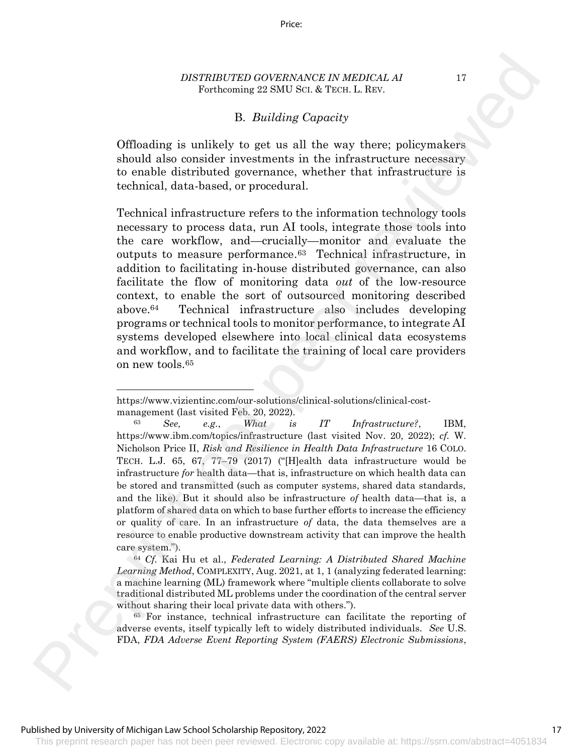#### Price:

#### *DISTRIBUTED GOVERNANCE IN MEDICAL AI* 17 Forthcoming 22 SMU SCI. & TECH. L. REV.

# B. *Building Capacity*

Offloading is unlikely to get us all the way there; policymakers should also consider investments in the infrastructure necessary to enable distributed governance, whether that infrastructure is technical, data-based, or procedural.

Technical infrastructure refers to the information technology tools necessary to process data, run AI tools, integrate those tools into the care workflow, and—crucially—monitor and evaluate the outputs to measure performance.63 Technical infrastructure, in addition to facilitating in-house distributed governance, can also facilitate the flow of monitoring data *out* of the low-resource context, to enable the sort of outsourced monitoring described above.64 Technical infrastructure also includes developing programs or technical tools to monitor performance, to integrate AI systems developed elsewhere into local clinical data ecosystems and workflow, and to facilitate the training of local care providers on new tools.<sup>65</sup> DESTRIBUTE IN DETERTING GOVERNMANCE IN MEDICAL AT  $\sim$  The Prescript of Denomination of the Context of the Context of the Context of the Context of the Context of the Context of the Context of the Context of the Context o

<sup>64</sup> *Cf.* Kai Hu et al., *Federated Learning: A Distributed Shared Machine Learning Method*, COMPLEXITY, Aug. 2021, at 1, 1 (analyzing federated learning: a machine learning (ML) framework where "multiple clients collaborate to solve traditional distributed ML problems under the coordination of the central server without sharing their local private data with others.").

<sup>65</sup> For instance, technical infrastructure can facilitate the reporting of adverse events, itself typically left to widely distributed individuals. *See* U.S. FDA, *FDA Adverse Event Reporting System (FAERS) Electronic Submissions*,

#### Published by University of Michigan Law School Scholarship Repository, 2022

https://www.vizientinc.com/our-solutions/clinical-solutions/clinical-costmanagement (last visited Feb. 20, 2022).

<sup>63</sup> *See, e.g.*, *What is IT Infrastructure?*, IBM, https://www.ibm.com/topics/infrastructure (last visited Nov. 20, 2022); *cf.* W. Nicholson Price II, *Risk and Resilience in Health Data Infrastructure* 16 COLO. TECH. L.J. 65, 67, 77–79 (2017) ("[H]ealth data infrastructure would be infrastructure *for* health data—that is, infrastructure on which health data can be stored and transmitted (such as computer systems, shared data standards, and the like). But it should also be infrastructure *of* health data—that is, a platform of shared data on which to base further efforts to increase the efficiency or quality of care. In an infrastructure *of* data, the data themselves are a resource to enable productive downstream activity that can improve the health care system.").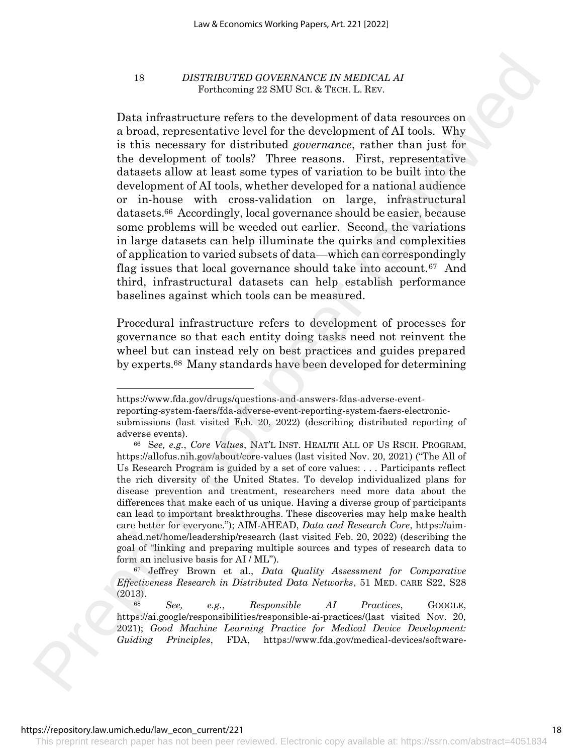Data infrastructure refers to the development of data resources on a broad, representative level for the development of AI tools. Why is this necessary for distributed *governance*, rather than just for the development of tools? Three reasons. First, representative datasets allow at least some types of variation to be built into the development of AI tools, whether developed for a national audience or in-house with cross-validation on large, infrastructural datasets.66 Accordingly, local governance should be easier, because some problems will be weeded out earlier. Second, the variations in large datasets can help illuminate the quirks and complexities of application to varied subsets of data—which can correspondingly flag issues that local governance should take into account.67 And third, infrastructural datasets can help establish performance baselines against which tools can be measured. For  $\sim$  Reservative ratios of the set of the set of the set of the set of the set of the set of the set of the set of the set of the set of the set of the set of the set of the set of the set of the set of the set of the

Procedural infrastructure refers to development of processes for governance so that each entity doing tasks need not reinvent the wheel but can instead rely on best practices and guides prepared by experts.68 Many standards have been developed for determining

https://www.fda.gov/drugs/questions-and-answers-fdas-adverse-event-

reporting-system-faers/fda-adverse-event-reporting-system-faers-electronic-

submissions (last visited Feb. 20, 2022) (describing distributed reporting of adverse events).

<sup>66</sup> S*ee, e.g.*, *Core Values*, NAT'L INST. HEALTH ALL OF US RSCH. PROGRAM, https://allofus.nih.gov/about/core-values (last visited Nov. 20, 2021) ("The All of Us Research Program is guided by a set of core values: . . . Participants reflect the rich diversity of the United States. To develop individualized plans for disease prevention and treatment, researchers need more data about the differences that make each of us unique. Having a diverse group of participants can lead to important breakthroughs. These discoveries may help make health care better for everyone."); AIM-AHEAD, *Data and Research Core*, https://aimahead.net/home/leadership/research (last visited Feb. 20, 2022) (describing the goal of "linking and preparing multiple sources and types of research data to form an inclusive basis for AI / ML").

<sup>67</sup> Jeffrey Brown et al., *Data Quality Assessment for Comparative Effectiveness Research in Distributed Data Networks*, 51 MED. CARE S22, S28 (2013).

<sup>68</sup> *See, e.g.*, *Responsible AI Practices*, GOOGLE, https://ai.google/responsibilities/responsible-ai-practices/(last visited Nov. 20, 2021); *Good Machine Learning Practice for Medical Device Development: Guiding Principles*, FDA, https://www.fda.gov/medical-devices/software-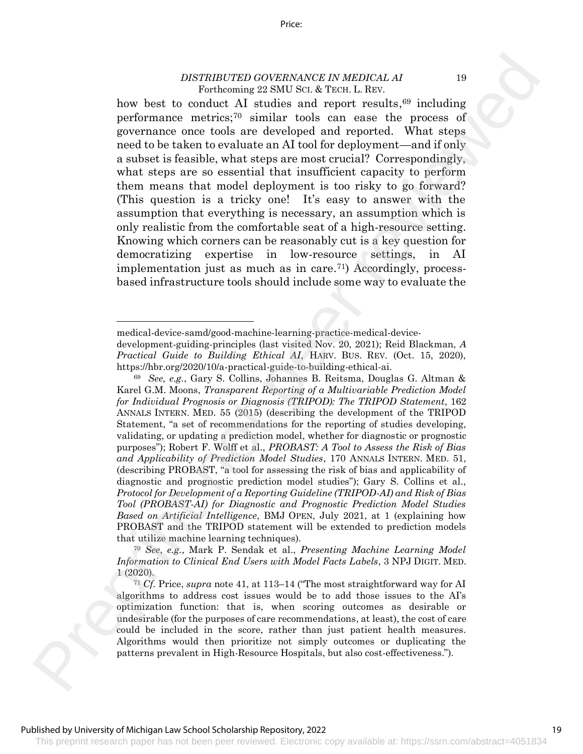how best to conduct AI studies and report results,<sup>69</sup> including performance metrics;<sup>70</sup> similar tools can ease the process of governance once tools are developed and reported. What steps need to be taken to evaluate an AI tool for deployment—and if only a subset is feasible, what steps are most crucial? Correspondingly, what steps are so essential that insufficient capacity to perform them means that model deployment is too risky to go forward? (This question is a tricky one! It's easy to answer with the assumption that everything is necessary, an assumption which is only realistic from the comfortable seat of a high-resource setting. Knowing which corners can be reasonably cut is a key question for democratizing expertise in low-resource settings, in AI implementation just as much as in care. 71) Accordingly, processbased infrastructure tools should include some way to evaluate the DESTRUITERED GOVERNSANCE IN MEDICAL AS<br>
To concluse A II studies and report results,<sup>18</sup> including<br>proference matrices A New Interior and the set of the set of the concess of<br>
governance matrices which then are used to co

<sup>70</sup> *See*, *e.g.*, Mark P. Sendak et al., *Presenting Machine Learning Model Information to Clinical End Users with Model Facts Labels*, 3 NPJ DIGIT. MED. 1 (2020).

medical-device-samd/good-machine-learning-practice-medical-device-

development-guiding-principles (last visited Nov. 20, 2021); Reid Blackman, *A Practical Guide to Building Ethical AI*, HARV. BUS. REV. (Oct. 15, 2020), https://hbr.org/2020/10/a-practical-guide-to-building-ethical-ai.

<sup>69</sup> *See, e.g.*, Gary S. Collins, Johannes B. Reitsma, Douglas G. Altman & Karel G.M. Moons, *Transparent Reporting of a Multivariable Prediction Model for Individual Prognosis or Diagnosis (TRIPOD): The TRIPOD Statement*, 162 ANNALS INTERN. MED. 55 (2015) (describing the development of the TRIPOD Statement, "a set of recommendations for the reporting of studies developing, validating, or updating a prediction model, whether for diagnostic or prognostic purposes"); Robert F. Wolff et al., *PROBAST: A Tool to Assess the Risk of Bias and Applicability of Prediction Model Studies*, 170 ANNALS INTERN. MED. 51, (describing PROBAST, "a tool for assessing the risk of bias and applicability of diagnostic and prognostic prediction model studies"); Gary S. Collins et al., *Protocol for Development of a Reporting Guideline (TRIPOD-AI) and Risk of Bias Tool (PROBAST-AI) for Diagnostic and Prognostic Prediction Model Studies Based on Artificial Intelligence*, BMJ OPEN, July 2021, at 1 (explaining how PROBAST and the TRIPOD statement will be extended to prediction models that utilize machine learning techniques).

<sup>71</sup> *Cf.* Price, *supra* note 41, at 113–14 ("The most straightforward way for AI algorithms to address cost issues would be to add those issues to the AI's optimization function: that is, when scoring outcomes as desirable or undesirable (for the purposes of care recommendations, at least), the cost of care could be included in the score, rather than just patient health measures. Algorithms would then prioritize not simply outcomes or duplicating the patterns prevalent in High-Resource Hospitals, but also cost-effectiveness.").